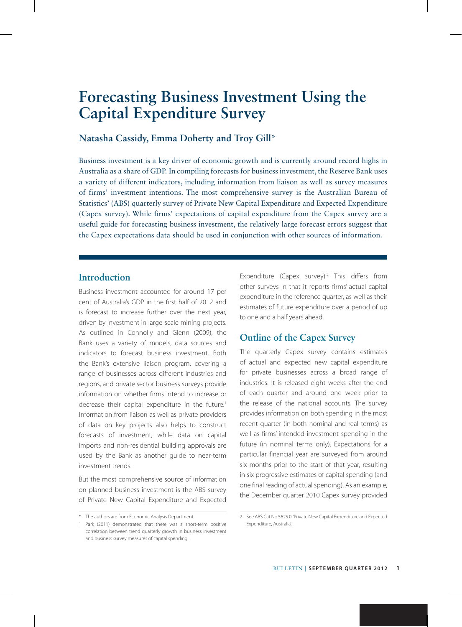### **Natasha Cassidy, Emma Doherty and Troy Gill**\*

Business investment is a key driver of economic growth and is currently around record highs in Australia as a share of GDP. In compiling forecasts for business investment, the Reserve Bank uses a variety of different indicators, including information from liaison as well as survey measures of firms' investment intentions. The most comprehensive survey is the Australian Bureau of Statistics' (ABS) quarterly survey of Private New Capital Expenditure and Expected Expenditure (Capex survey). While firms' expectations of capital expenditure from the Capex survey are a useful guide for forecasting business investment, the relatively large forecast errors suggest that the Capex expectations data should be used in conjunction with other sources of information.

### **Introduction**

Business investment accounted for around 17 per cent of Australia's GDP in the first half of 2012 and is forecast to increase further over the next year, driven by investment in large-scale mining projects. As outlined in Connolly and Glenn (2009), the Bank uses a variety of models, data sources and indicators to forecast business investment. Both the Bank's extensive liaison program, covering a range of businesses across different industries and regions, and private sector business surveys provide information on whether firms intend to increase or decrease their capital expenditure in the future.<sup>1</sup> Information from liaison as well as private providers of data on key projects also helps to construct forecasts of investment, while data on capital imports and non-residential building approvals are used by the Bank as another guide to near-term investment trends.

But the most comprehensive source of information on planned business investment is the ABS survey of Private New Capital Expenditure and Expected

Expenditure (Capex survey).<sup>2</sup> This differs from other surveys in that it reports firms' actual capital expenditure in the reference quarter, as well as their estimates of future expenditure over a period of up to one and a half years ahead.

### **Outline of the Capex Survey**

The quarterly Capex survey contains estimates of actual and expected new capital expenditure for private businesses across a broad range of industries. It is released eight weeks after the end of each quarter and around one week prior to the release of the national accounts. The survey provides information on both spending in the most recent quarter (in both nominal and real terms) as well as firms' intended investment spending in the future (in nominal terms only). Expectations for a particular financial year are surveyed from around six months prior to the start of that year, resulting in six progressive estimates of capital spending (and one final reading of actual spending). As an example, the December quarter 2010 Capex survey provided

<sup>\*</sup> The authors are from Economic Analysis Department.

<sup>1</sup> Park (2011) demonstrated that there was a short-term positive correlation between trend quarterly growth in business investment and business survey measures of capital spending.

<sup>2</sup> See ABS Cat No 5625.0 'Private New Capital Expenditure and Expected Expenditure, Australia'.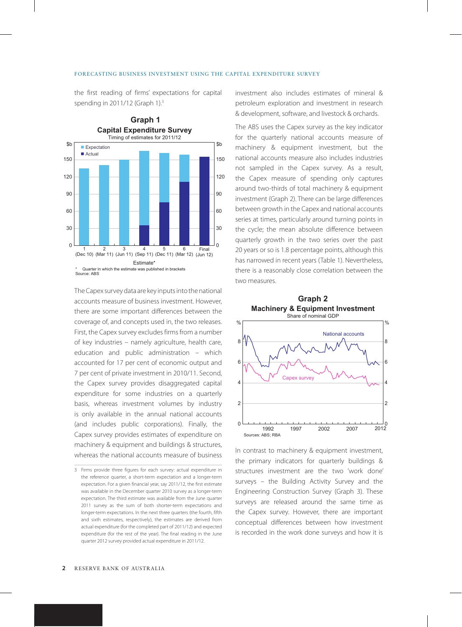the first reading of firms' expectations for capital spending in 2011/12 (Graph 1).3



The Capex survey data are key inputs into the national accounts measure of business investment. However, there are some important differences between the coverage of, and concepts used in, the two releases. First, the Capex survey excludes firms from a number of key industries – namely agriculture, health care, education and public administration – which accounted for 17 per cent of economic output and 7 per cent of private investment in 2010/11. Second, the Capex survey provides disaggregated capital expenditure for some industries on a quarterly basis, whereas investment volumes by industry is only available in the annual national accounts (and includes public corporations). Finally, the Capex survey provides estimates of expenditure on machinery & equipment and buildings & structures, whereas the national accounts measure of business investment also includes estimates of mineral & petroleum exploration and investment in research & development, software, and livestock & orchards.

The ABS uses the Capex survey as the key indicator for the quarterly national accounts measure of machinery & equipment investment, but the national accounts measure also includes industries not sampled in the Capex survey. As a result, the Capex measure of spending only captures around two-thirds of total machinery & equipment investment (Graph 2). There can be large differences between growth in the Capex and national accounts series at times, particularly around turning points in the cycle; the mean absolute difference between quarterly growth in the two series over the past 20 years or so is 1.8 percentage points, although this has narrowed in recent years (Table 1). Nevertheless, there is a reasonably close correlation between the two measures.





In contrast to machinery & equipment investment, the primary indicators for quarterly buildings & structures investment are the two 'work done' surveys – the Building Activity Survey and the Engineering Construction Survey (Graph 3). These surveys are released around the same time as the Capex survey. However, there are important conceptual differences between how investment is recorded in the work done surveys and how it is

<sup>3</sup> Firms provide three figures for each survey: actual expenditure in the reference quarter, a short-term expectation and a longer-term expectation. For a given financial year, say 2011/12, the first estimate was available in the December quarter 2010 survey as a longer-term expectation. The third estimate was available from the June quarter 2011 survey as the sum of both shorter-term expectations and longer-term expectations. In the next three quarters (the fourth, fifth and sixth estimates, respectively), the estimates are derived from actual expenditure (for the completed part of 2011/12) and expected expenditure (for the rest of the year). The final reading in the June quarter 2012 survey provided actual expenditure in 2011/12.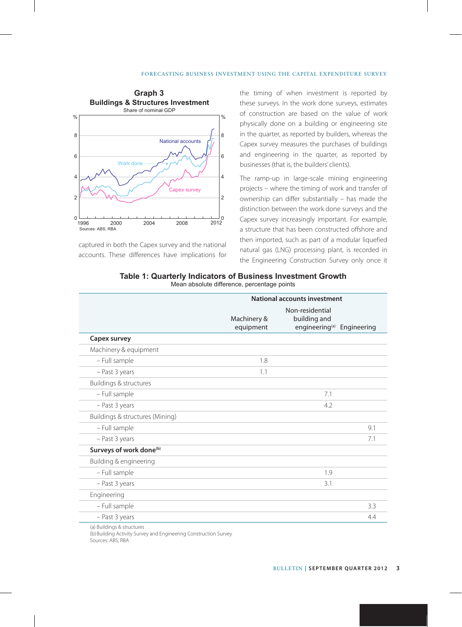

captured in both the Capex survey and the national accounts. These differences have implications for the timing of when investment is reported by these surveys. In the work done surveys, estimates of construction are based on the value of work physically done on a building or engineering site in the quarter, as reported by builders, whereas the Capex survey measures the purchases of buildings and engineering in the quarter, as reported by businesses (that is, the builders' clients).

The ramp-up in large-scale mining engineering projects – where the timing of work and transfer of ownership can differ substantially – has made the distinction between the work done surveys and the Capex survey increasingly important. For example, a structure that has been constructed offshore and then imported, such as part of a modular liquefied natural gas (LNG) processing plant, is recorded in the Engineering Construction Survey only once it

| Table 1: Quarterly Indicators of Business Investment Growth |  |
|-------------------------------------------------------------|--|
| Mean absolute difference, percentage points                 |  |

|                                     | National accounts investment |                                                                           |     |
|-------------------------------------|------------------------------|---------------------------------------------------------------------------|-----|
|                                     | Machinery &<br>equipment     | Non-residential<br>building and<br>engineering <sup>(a)</sup> Engineering |     |
| Capex survey                        |                              |                                                                           |     |
| Machinery & equipment               |                              |                                                                           |     |
| - Full sample                       | 1.8                          |                                                                           |     |
| - Past 3 years                      | 1.1                          |                                                                           |     |
| Buildings & structures              |                              |                                                                           |     |
| - Full sample                       |                              | 7.1                                                                       |     |
| - Past 3 years                      |                              | 4.2                                                                       |     |
| Buildings & structures (Mining)     |                              |                                                                           |     |
| - Full sample                       |                              |                                                                           | 9.1 |
| - Past 3 years                      |                              |                                                                           | 7.1 |
| Surveys of work done <sup>(b)</sup> |                              |                                                                           |     |
| Building & engineering              |                              |                                                                           |     |
| - Full sample                       |                              | 1.9                                                                       |     |
| - Past 3 years                      |                              | 3.1                                                                       |     |
| Engineering                         |                              |                                                                           |     |
| - Full sample                       |                              |                                                                           | 3.3 |
| - Past 3 years                      |                              |                                                                           | 4.4 |

(a) Buildings & structures

(b) Building Activity Survey and Engineering Construction Survey

Sources: ABS; RBA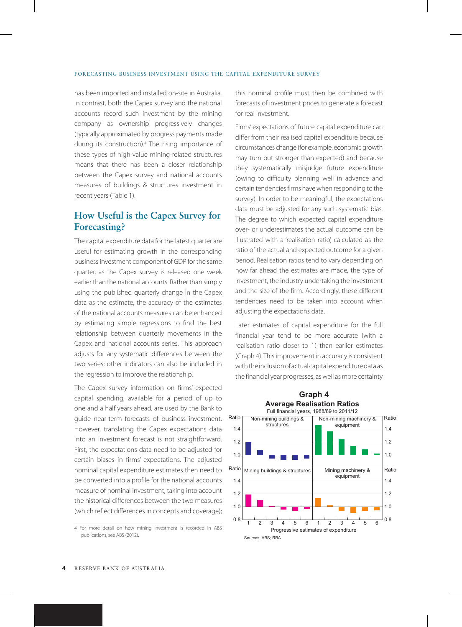#### FORECASTING BUSINESS INVESTMENT USING THE CAPITAL EXPENDITURE SURVEY

has been imported and installed on-site in Australia. In contrast, both the Capex survey and the national accounts record such investment by the mining company as ownership progressively changes (typically approximated by progress payments made during its construction).4 The rising importance of these types of high-value mining-related structures means that there has been a closer relationship between the Capex survey and national accounts measures of buildings & structures investment in recent years (Table 1).

### **How Useful is the Capex Survey for Forecasting?**

The capital expenditure data for the latest quarter are useful for estimating growth in the corresponding business investment component of GDP for the same quarter, as the Capex survey is released one week earlier than the national accounts. Rather than simply using the published quarterly change in the Capex data as the estimate, the accuracy of the estimates of the national accounts measures can be enhanced by estimating simple regressions to find the best relationship between quarterly movements in the Capex and national accounts series. This approach adjusts for any systematic differences between the two series; other indicators can also be included in the regression to improve the relationship.

The Capex survey information on firms' expected capital spending, available for a period of up to one and a half years ahead, are used by the Bank to guide near-term forecasts of business investment. However, translating the Capex expectations data into an investment forecast is not straightforward. First, the expectations data need to be adjusted for certain biases in firms' expectations. The adjusted nominal capital expenditure estimates then need to be converted into a profile for the national accounts measure of nominal investment, taking into account the historical differences between the two measures (which reflect differences in concepts and coverage);

this nominal profile must then be combined with forecasts of investment prices to generate a forecast for real investment.

Firms' expectations of future capital expenditure can differ from their realised capital expenditure because circumstances change (for example, economic growth may turn out stronger than expected) and because they systematically misjudge future expenditure (owing to difficulty planning well in advance and certain tendencies firms have when responding to the survey). In order to be meaningful, the expectations data must be adjusted for any such systematic bias. The degree to which expected capital expenditure over- or underestimates the actual outcome can be illustrated with a 'realisation ratio', calculated as the ratio of the actual and expected outcome for a given period. Realisation ratios tend to vary depending on how far ahead the estimates are made, the type of investment, the industry undertaking the investment and the size of the firm. Accordingly, these different tendencies need to be taken into account when adjusting the expectations data.

Later estimates of capital expenditure for the full financial year tend to be more accurate (with a realisation ratio closer to 1) than earlier estimates (Graph 4). This improvement in accuracy is consistent with the inclusion of actual capital expenditure data as the financial year progresses, as well as more certainty



<sup>4</sup> For more detail on how mining investment is recorded in ABS publications, see ABS (2012).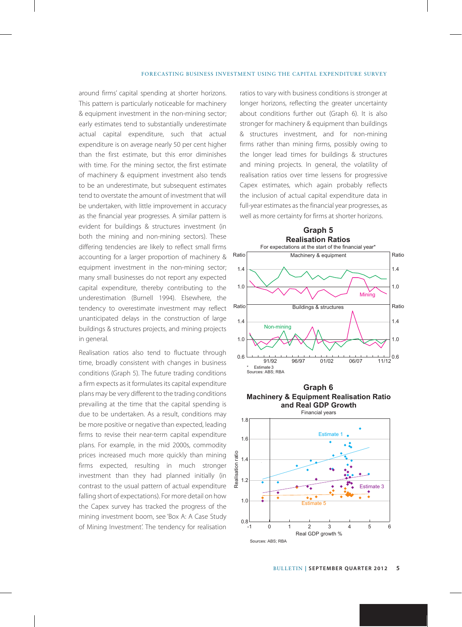around firms' capital spending at shorter horizons. This pattern is particularly noticeable for machinery & equipment investment in the non-mining sector; early estimates tend to substantially underestimate actual capital expenditure, such that actual expenditure is on average nearly 50 per cent higher than the first estimate, but this error diminishes with time. For the mining sector, the first estimate of machinery & equipment investment also tends to be an underestimate, but subsequent estimates tend to overstate the amount of investment that will be undertaken, with little improvement in accuracy as the financial year progresses. A similar pattern is evident for buildings & structures investment (in both the mining and non-mining sectors). These differing tendencies are likely to reflect small firms accounting for a larger proportion of machinery & equipment investment in the non-mining sector; many small businesses do not report any expected capital expenditure, thereby contributing to the underestimation (Burnell 1994). Elsewhere, the tendency to overestimate investment may reflect unanticipated delays in the construction of large buildings & structures projects, and mining projects in general.

Realisation ratios also tend to fluctuate through time, broadly consistent with changes in business conditions (Graph 5). The future trading conditions a firm expects as it formulates its capital expenditure plans may be very different to the trading conditions prevailing at the time that the capital spending is due to be undertaken. As a result, conditions may be more positive or negative than expected, leading firms to revise their near-term capital expenditure plans. For example, in the mid 2000s, commodity prices increased much more quickly than mining firms expected, resulting in much stronger investment than they had planned initially (in contrast to the usual pattern of actual expenditure falling short of expectations). For more detail on how the Capex survey has tracked the progress of the mining investment boom, see 'Box A: A Case Study of Mining Investment'. The tendency for realisation ratios to vary with business conditions is stronger at longer horizons, reflecting the greater uncertainty about conditions further out (Graph 6). It is also stronger for machinery & equipment than buildings & structures investment, and for non-mining firms rather than mining firms, possibly owing to the longer lead times for buildings & structures and mining projects. In general, the volatility of realisation ratios over time lessens for progressive Capex estimates, which again probably reflects the inclusion of actual capital expenditure data in full-year estimates as the financial year progresses, as well as more certainty for firms at shorter horizons.



**Machinery & Equipment Realisation Ratio and Real GDP Growth** Financial years **Graph 6**

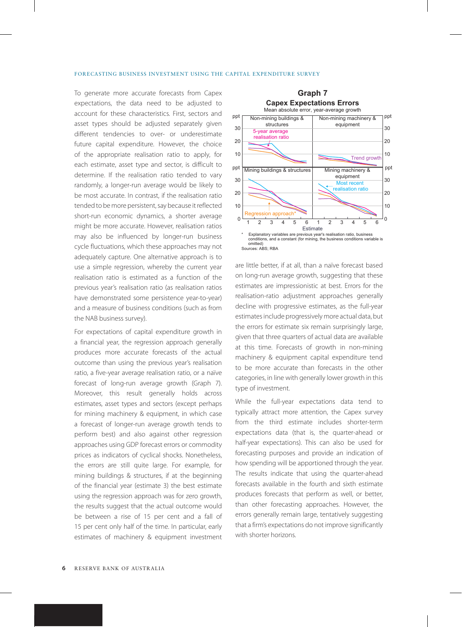To generate more accurate forecasts from Capex expectations, the data need to be adjusted to account for these characteristics. First, sectors and asset types should be adjusted separately given different tendencies to over- or underestimate future capital expenditure. However, the choice of the appropriate realisation ratio to apply, for each estimate, asset type and sector, is difficult to determine. If the realisation ratio tended to vary randomly, a longer-run average would be likely to be most accurate. In contrast, if the realisation ratio tended to be more persistent, say because it reflected short-run economic dynamics, a shorter average might be more accurate. However, realisation ratios may also be influenced by longer-run business cycle fluctuations, which these approaches may not adequately capture. One alternative approach is to use a simple regression, whereby the current year realisation ratio is estimated as a function of the previous year's realisation ratio (as realisation ratios have demonstrated some persistence year-to-year) and a measure of business conditions (such as from the NAB business survey).

For expectations of capital expenditure growth in a financial year, the regression approach generally produces more accurate forecasts of the actual outcome than using the previous year's realisation ratio, a five-year average realisation ratio, or a naïve forecast of long-run average growth (Graph 7). Moreover, this result generally holds across estimates, asset types and sectors (except perhaps for mining machinery & equipment, in which case a forecast of longer-run average growth tends to perform best) and also against other regression approaches using GDP forecast errors or commodity prices as indicators of cyclical shocks. Nonetheless, the errors are still quite large. For example, for mining buildings & structures, if at the beginning of the financial year (estimate 3) the best estimate using the regression approach was for zero growth, the results suggest that the actual outcome would be between a rise of 15 per cent and a fall of 15 per cent only half of the time. In particular, early estimates of machinery & equipment investment



are little better, if at all, than a naïve forecast based on long-run average growth, suggesting that these estimates are impressionistic at best. Errors for the realisation-ratio adjustment approaches generally decline with progressive estimates, as the full-year estimates include progressively more actual data, but the errors for estimate six remain surprisingly large, given that three quarters of actual data are available at this time. Forecasts of growth in non-mining machinery & equipment capital expenditure tend to be more accurate than forecasts in the other categories, in line with generally lower growth in this type of investment.

While the full-year expectations data tend to typically attract more attention, the Capex survey from the third estimate includes shorter-term expectations data (that is, the quarter-ahead or half-year expectations). This can also be used for forecasting purposes and provide an indication of how spending will be apportioned through the year. The results indicate that using the quarter-ahead forecasts available in the fourth and sixth estimate produces forecasts that perform as well, or better, than other forecasting approaches. However, the errors generally remain large, tentatively suggesting that a firm's expectations do not improve significantly with shorter horizons.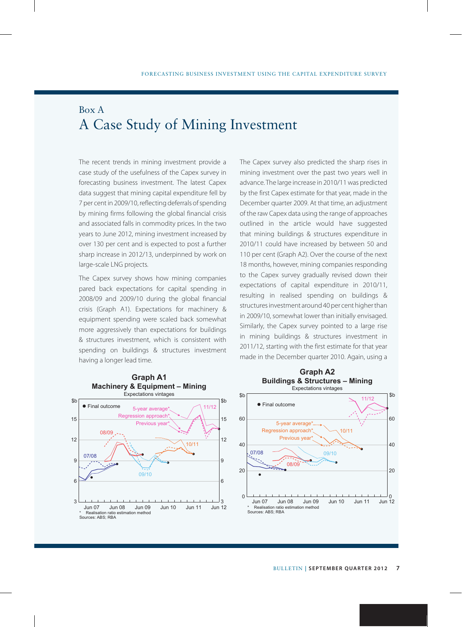## Box A A Case Study of Mining Investment

The recent trends in mining investment provide a case study of the usefulness of the Capex survey in forecasting business investment. The latest Capex data suggest that mining capital expenditure fell by 7 per cent in 2009/10, reflecting deferrals of spending by mining firms following the global financial crisis and associated falls in commodity prices. In the two years to June 2012, mining investment increased by over 130 per cent and is expected to post a further sharp increase in 2012/13, underpinned by work on large-scale LNG projects.

The Capex survey shows how mining companies pared back expectations for capital spending in 2008/09 and 2009/10 during the global financial crisis (Graph A1). Expectations for machinery & equipment spending were scaled back somewhat more aggressively than expectations for buildings & structures investment, which is consistent with spending on buildings & structures investment having a longer lead time.



The Capex survey also predicted the sharp rises in mining investment over the past two years well in advance. The large increase in 2010/11 was predicted by the first Capex estimate for that year, made in the December quarter 2009. At that time, an adjustment of the raw Capex data using the range of approaches outlined in the article would have suggested that mining buildings & structures expenditure in 2010/11 could have increased by between 50 and 110 per cent (Graph A2). Over the course of the next 18 months, however, mining companies responding to the Capex survey gradually revised down their expectations of capital expenditure in 2010/11, resulting in realised spending on buildings & structures investment around 40 per cent higher than in 2009/10, somewhat lower than initially envisaged. Similarly, the Capex survey pointed to a large rise in mining buildings & structures investment in 2011/12, starting with the first estimate for that year made in the December quarter 2010. Again, using a

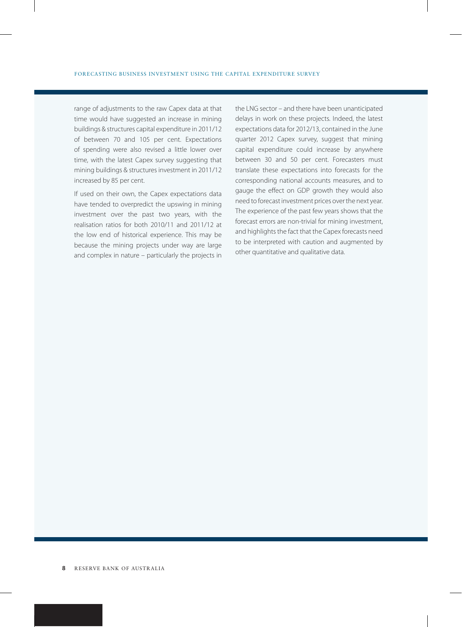range of adjustments to the raw Capex data at that time would have suggested an increase in mining buildings & structures capital expenditure in 2011/12 of between 70 and 105 per cent. Expectations of spending were also revised a little lower over time, with the latest Capex survey suggesting that mining buildings & structures investment in 2011/12 increased by 85 per cent.

If used on their own, the Capex expectations data have tended to overpredict the upswing in mining investment over the past two years, with the realisation ratios for both 2010/11 and 2011/12 at the low end of historical experience. This may be because the mining projects under way are large and complex in nature – particularly the projects in the LNG sector – and there have been unanticipated delays in work on these projects. Indeed, the latest expectations data for 2012/13, contained in the June quarter 2012 Capex survey, suggest that mining capital expenditure could increase by anywhere between 30 and 50 per cent. Forecasters must translate these expectations into forecasts for the corresponding national accounts measures, and to gauge the effect on GDP growth they would also need to forecast investment prices over the next year. The experience of the past few years shows that the forecast errors are non-trivial for mining investment, and highlights the fact that the Capex forecasts need to be interpreted with caution and augmented by other quantitative and qualitative data.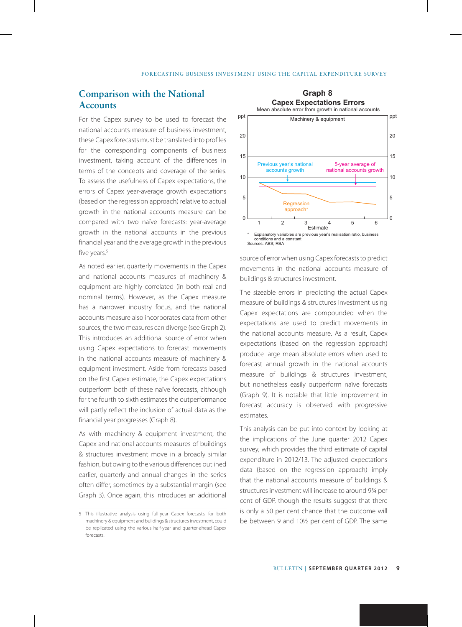### **Comparison with the National Accounts**

For the Capex survey to be used to forecast the national accounts measure of business investment, these Capex forecasts must be translated into profiles for the corresponding components of business investment, taking account of the differences in terms of the concepts and coverage of the series. To assess the usefulness of Capex expectations, the errors of Capex year-average growth expectations (based on the regression approach) relative to actual growth in the national accounts measure can be compared with two naïve forecasts: year-average growth in the national accounts in the previous financial year and the average growth in the previous five years.<sup>5</sup>

As noted earlier, quarterly movements in the Capex and national accounts measures of machinery & equipment are highly correlated (in both real and nominal terms). However, as the Capex measure has a narrower industry focus, and the national accounts measure also incorporates data from other sources, the two measures can diverge (see Graph 2). This introduces an additional source of error when using Capex expectations to forecast movements in the national accounts measure of machinery & equipment investment. Aside from forecasts based on the first Capex estimate, the Capex expectations outperform both of these naïve forecasts, although for the fourth to sixth estimates the outperformance will partly reflect the inclusion of actual data as the financial year progresses (Graph 8).

As with machinery & equipment investment, the Capex and national accounts measures of buildings & structures investment move in a broadly similar fashion, but owing to the various differences outlined earlier, quarterly and annual changes in the series often differ, sometimes by a substantial margin (see Graph 3). Once again, this introduces an additional



source of error when using Capex forecasts to predict movements in the national accounts measure of buildings & structures investment.

The sizeable errors in predicting the actual Capex measure of buildings & structures investment using Capex expectations are compounded when the expectations are used to predict movements in the national accounts measure. As a result, Capex expectations (based on the regression approach) produce large mean absolute errors when used to forecast annual growth in the national accounts measure of buildings & structures investment, but nonetheless easily outperform naïve forecasts (Graph 9). It is notable that little improvement in forecast accuracy is observed with progressive estimates.

This analysis can be put into context by looking at the implications of the June quarter 2012 Capex survey, which provides the third estimate of capital expenditure in 2012/13. The adjusted expectations data (based on the regression approach) imply that the national accounts measure of buildings & structures investment will increase to around 9¾ per cent of GDP, though the results suggest that there is only a 50 per cent chance that the outcome will be between 9 and 10½ per cent of GDP. The same

<sup>5</sup> This illustrative analysis using full-year Capex forecasts, for both machinery & equipment and buildings & structures investment, could be replicated using the various half-year and quarter-ahead Capex forecasts.